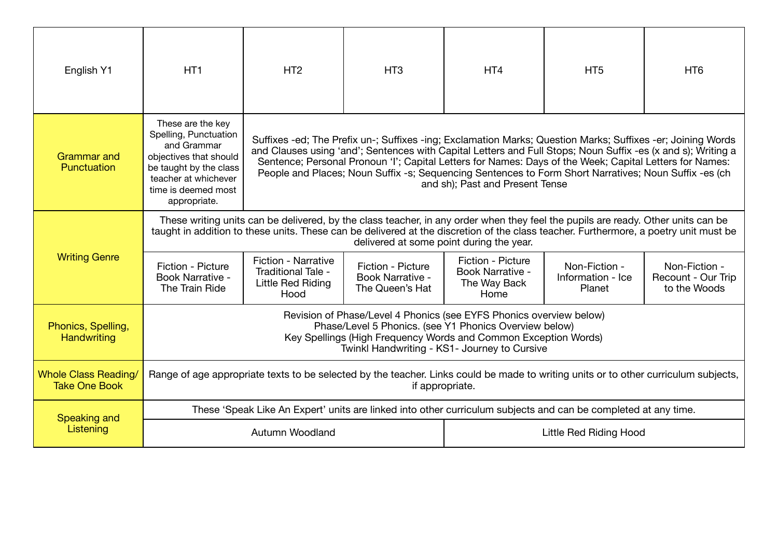| English Y1                                          | HT <sub>1</sub>                                                                                                                                                                                                                                                                                                      | HT <sub>2</sub>                                                                                                                                                                                                                                                                                                                                                                                                                                                                    | HT <sub>3</sub>                                                                                                | HT <sub>4</sub>                                               | HT <sub>5</sub>                              | HT <sub>6</sub>                                     |  |
|-----------------------------------------------------|----------------------------------------------------------------------------------------------------------------------------------------------------------------------------------------------------------------------------------------------------------------------------------------------------------------------|------------------------------------------------------------------------------------------------------------------------------------------------------------------------------------------------------------------------------------------------------------------------------------------------------------------------------------------------------------------------------------------------------------------------------------------------------------------------------------|----------------------------------------------------------------------------------------------------------------|---------------------------------------------------------------|----------------------------------------------|-----------------------------------------------------|--|
| <b>Grammar</b> and<br>Punctuation                   | These are the key<br>Spelling, Punctuation<br>and Grammar<br>objectives that should<br>be taught by the class<br>teacher at whichever<br>time is deemed most<br>appropriate.                                                                                                                                         | Suffixes -ed; The Prefix un-; Suffixes -ing; Exclamation Marks; Question Marks; Suffixes -er; Joining Words<br>and Clauses using 'and'; Sentences with Capital Letters and Full Stops; Noun Suffix -es (x and s); Writing a<br>Sentence; Personal Pronoun 'I'; Capital Letters for Names: Days of the Week; Capital Letters for Names:<br>People and Places; Noun Suffix -s; Sequencing Sentences to Form Short Narratives; Noun Suffix -es (ch<br>and sh); Past and Present Tense |                                                                                                                |                                                               |                                              |                                                     |  |
|                                                     | These writing units can be delivered, by the class teacher, in any order when they feel the pupils are ready. Other units can be<br>taught in addition to these units. These can be delivered at the discretion of the class teacher. Furthermore, a poetry unit must be<br>delivered at some point during the year. |                                                                                                                                                                                                                                                                                                                                                                                                                                                                                    |                                                                                                                |                                                               |                                              |                                                     |  |
| <b>Writing Genre</b>                                | Fiction - Picture<br>Book Narrative -<br>The Train Ride                                                                                                                                                                                                                                                              | Fiction - Narrative<br>Traditional Tale -<br>Little Red Riding<br>Hood                                                                                                                                                                                                                                                                                                                                                                                                             | Fiction - Picture<br>Book Narrative -<br>The Queen's Hat                                                       | Fiction - Picture<br>Book Narrative -<br>The Way Back<br>Home | Non-Fiction -<br>Information - Ice<br>Planet | Non-Fiction -<br>Recount - Our Trip<br>to the Woods |  |
| Phonics, Spelling,<br>Handwriting                   |                                                                                                                                                                                                                                                                                                                      | Revision of Phase/Level 4 Phonics (see EYFS Phonics overview below)<br>Phase/Level 5 Phonics. (see Y1 Phonics Overview below)<br>Key Spellings (High Frequency Words and Common Exception Words)<br>Twinkl Handwriting - KS1- Journey to Cursive                                                                                                                                                                                                                                   |                                                                                                                |                                                               |                                              |                                                     |  |
| <b>Whole Class Reading/</b><br><b>Take One Book</b> | Range of age appropriate texts to be selected by the teacher. Links could be made to writing units or to other curriculum subjects,<br>if appropriate.                                                                                                                                                               |                                                                                                                                                                                                                                                                                                                                                                                                                                                                                    |                                                                                                                |                                                               |                                              |                                                     |  |
| Speaking and                                        |                                                                                                                                                                                                                                                                                                                      |                                                                                                                                                                                                                                                                                                                                                                                                                                                                                    | These 'Speak Like An Expert' units are linked into other curriculum subjects and can be completed at any time. |                                                               |                                              |                                                     |  |
| Listening                                           |                                                                                                                                                                                                                                                                                                                      | Autumn Woodland                                                                                                                                                                                                                                                                                                                                                                                                                                                                    |                                                                                                                |                                                               | Little Red Riding Hood                       |                                                     |  |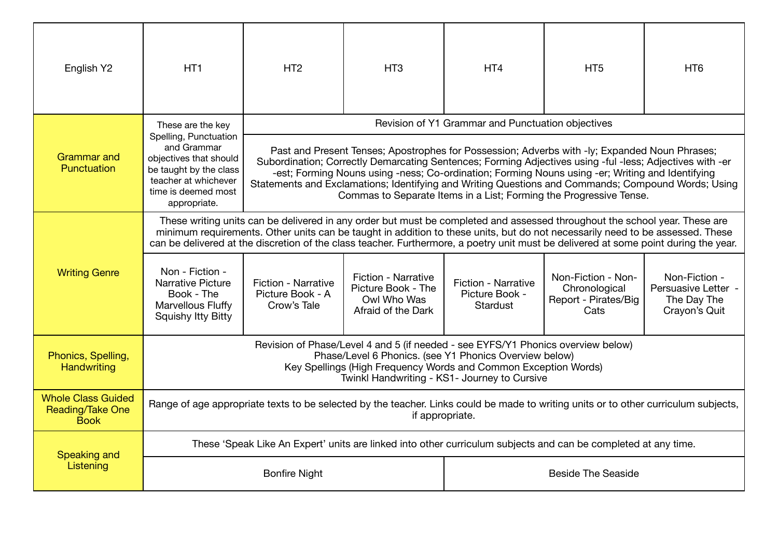| English Y2                                                   | HT <sub>1</sub>                                                                                                                                                                                                                                                                                                                                                                                     | HT <sub>2</sub>                                                                                                                                                                                                                                                                                                                                                                                                                                                                           | HT <sub>3</sub>                                                                                                                                                                                                                                               | HT <sub>4</sub>                                          | HT <sub>5</sub>                                                                                                                     | HT <sub>6</sub>                                                      |  |
|--------------------------------------------------------------|-----------------------------------------------------------------------------------------------------------------------------------------------------------------------------------------------------------------------------------------------------------------------------------------------------------------------------------------------------------------------------------------------------|-------------------------------------------------------------------------------------------------------------------------------------------------------------------------------------------------------------------------------------------------------------------------------------------------------------------------------------------------------------------------------------------------------------------------------------------------------------------------------------------|---------------------------------------------------------------------------------------------------------------------------------------------------------------------------------------------------------------------------------------------------------------|----------------------------------------------------------|-------------------------------------------------------------------------------------------------------------------------------------|----------------------------------------------------------------------|--|
|                                                              | These are the key                                                                                                                                                                                                                                                                                                                                                                                   |                                                                                                                                                                                                                                                                                                                                                                                                                                                                                           |                                                                                                                                                                                                                                                               | Revision of Y1 Grammar and Punctuation objectives        |                                                                                                                                     |                                                                      |  |
| <b>Grammar</b> and<br>Punctuation                            | Spelling, Punctuation<br>and Grammar<br>objectives that should<br>be taught by the class<br>teacher at whichever<br>time is deemed most<br>appropriate.                                                                                                                                                                                                                                             | Past and Present Tenses; Apostrophes for Possession; Adverbs with -ly; Expanded Noun Phrases;<br>Subordination; Correctly Demarcating Sentences; Forming Adjectives using -ful -less; Adjectives with -er<br>-est; Forming Nouns using -ness; Co-ordination; Forming Nouns using -er; Writing and Identifying<br>Statements and Exclamations; Identifying and Writing Questions and Commands; Compound Words; Using<br>Commas to Separate Items in a List; Forming the Progressive Tense. |                                                                                                                                                                                                                                                               |                                                          |                                                                                                                                     |                                                                      |  |
|                                                              | These writing units can be delivered in any order but must be completed and assessed throughout the school year. These are<br>minimum requirements. Other units can be taught in addition to these units, but do not necessarily need to be assessed. These<br>can be delivered at the discretion of the class teacher. Furthermore, a poetry unit must be delivered at some point during the year. |                                                                                                                                                                                                                                                                                                                                                                                                                                                                                           |                                                                                                                                                                                                                                                               |                                                          |                                                                                                                                     |                                                                      |  |
| <b>Writing Genre</b>                                         | Non - Fiction -<br><b>Narrative Picture</b><br>Book - The<br>Marvellous Fluffy<br><b>Squishy Itty Bitty</b>                                                                                                                                                                                                                                                                                         | <b>Fiction - Narrative</b><br>Picture Book - A<br>Crow's Tale                                                                                                                                                                                                                                                                                                                                                                                                                             | <b>Fiction - Narrative</b><br>Picture Book - The<br>Owl Who Was<br>Afraid of the Dark                                                                                                                                                                         | <b>Fiction - Narrative</b><br>Picture Book -<br>Stardust | Non-Fiction - Non-<br>Chronological<br>Report - Pirates/Big<br>Cats                                                                 | Non-Fiction -<br>Persuasive Letter -<br>The Day The<br>Crayon's Quit |  |
| Phonics, Spelling,<br><b>Handwriting</b>                     |                                                                                                                                                                                                                                                                                                                                                                                                     |                                                                                                                                                                                                                                                                                                                                                                                                                                                                                           | Revision of Phase/Level 4 and 5 (if needed - see EYFS/Y1 Phonics overview below)<br>Phase/Level 6 Phonics. (see Y1 Phonics Overview below)<br>Key Spellings (High Frequency Words and Common Exception Words)<br>Twinkl Handwriting - KS1- Journey to Cursive |                                                          |                                                                                                                                     |                                                                      |  |
| <b>Whole Class Guided</b><br>Reading/Take One<br><b>Book</b> |                                                                                                                                                                                                                                                                                                                                                                                                     |                                                                                                                                                                                                                                                                                                                                                                                                                                                                                           | if appropriate.                                                                                                                                                                                                                                               |                                                          | Range of age appropriate texts to be selected by the teacher. Links could be made to writing units or to other curriculum subjects, |                                                                      |  |
|                                                              |                                                                                                                                                                                                                                                                                                                                                                                                     |                                                                                                                                                                                                                                                                                                                                                                                                                                                                                           |                                                                                                                                                                                                                                                               |                                                          | These 'Speak Like An Expert' units are linked into other curriculum subjects and can be completed at any time.                      |                                                                      |  |
| Speaking and<br>Listening                                    | <b>Beside The Seaside</b><br><b>Bonfire Night</b>                                                                                                                                                                                                                                                                                                                                                   |                                                                                                                                                                                                                                                                                                                                                                                                                                                                                           |                                                                                                                                                                                                                                                               |                                                          |                                                                                                                                     |                                                                      |  |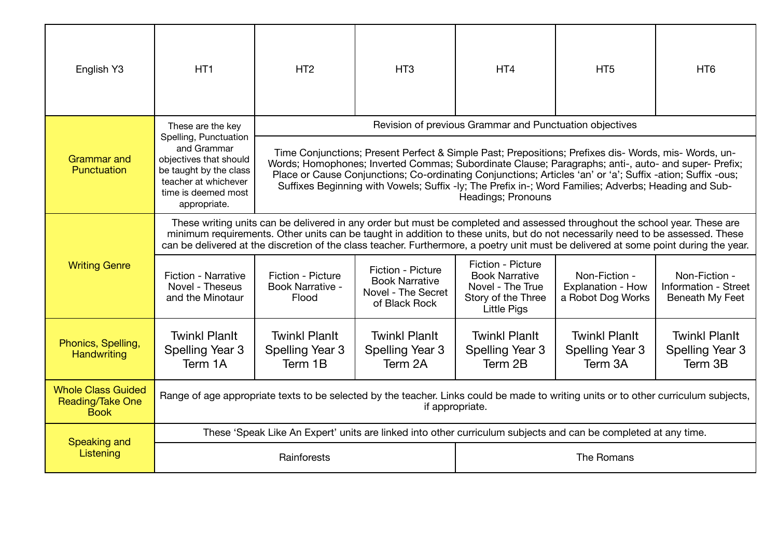| English Y3                                                          | HT <sub>1</sub>                                                                                                                                                                                                                                                                                                                                                                                     | HT <sub>2</sub>                                                                                                                                                                                                                                                                                                                                                                                                                                         | HT <sub>3</sub>                                                                   | HT <sub>4</sub>                                                                                            | HT <sub>5</sub>                                                                                                                     | HT <sub>6</sub>                                          |  |
|---------------------------------------------------------------------|-----------------------------------------------------------------------------------------------------------------------------------------------------------------------------------------------------------------------------------------------------------------------------------------------------------------------------------------------------------------------------------------------------|---------------------------------------------------------------------------------------------------------------------------------------------------------------------------------------------------------------------------------------------------------------------------------------------------------------------------------------------------------------------------------------------------------------------------------------------------------|-----------------------------------------------------------------------------------|------------------------------------------------------------------------------------------------------------|-------------------------------------------------------------------------------------------------------------------------------------|----------------------------------------------------------|--|
|                                                                     | These are the key<br>Spelling, Punctuation                                                                                                                                                                                                                                                                                                                                                          |                                                                                                                                                                                                                                                                                                                                                                                                                                                         |                                                                                   | Revision of previous Grammar and Punctuation objectives                                                    |                                                                                                                                     |                                                          |  |
| <b>Grammar</b> and<br>Punctuation                                   | and Grammar<br>objectives that should<br>be taught by the class<br>teacher at whichever<br>time is deemed most<br>appropriate.                                                                                                                                                                                                                                                                      | Time Conjunctions; Present Perfect & Simple Past; Prepositions; Prefixes dis- Words, mis- Words, un-<br>Words; Homophones; Inverted Commas; Subordinate Clause; Paragraphs; anti-, auto- and super- Prefix;<br>Place or Cause Conjunctions; Co-ordinating Conjunctions; Articles 'an' or 'a'; Suffix -ation; Suffix -ous;<br>Suffixes Beginning with Vowels; Suffix -ly; The Prefix in-; Word Families; Adverbs; Heading and Sub-<br>Headings; Pronouns |                                                                                   |                                                                                                            |                                                                                                                                     |                                                          |  |
|                                                                     | These writing units can be delivered in any order but must be completed and assessed throughout the school year. These are<br>minimum requirements. Other units can be taught in addition to these units, but do not necessarily need to be assessed. These<br>can be delivered at the discretion of the class teacher. Furthermore, a poetry unit must be delivered at some point during the year. |                                                                                                                                                                                                                                                                                                                                                                                                                                                         |                                                                                   |                                                                                                            |                                                                                                                                     |                                                          |  |
| <b>Writing Genre</b>                                                | <b>Fiction - Narrative</b><br>Novel - Theseus<br>and the Minotaur                                                                                                                                                                                                                                                                                                                                   | Fiction - Picture<br>Book Narrative -<br>Flood                                                                                                                                                                                                                                                                                                                                                                                                          | Fiction - Picture<br><b>Book Narrative</b><br>Novel - The Secret<br>of Black Rock | Fiction - Picture<br><b>Book Narrative</b><br>Novel - The True<br>Story of the Three<br><b>Little Pigs</b> | Non-Fiction -<br>Explanation - How<br>a Robot Dog Works                                                                             | Non-Fiction -<br>Information - Street<br>Beneath My Feet |  |
| Phonics, Spelling,<br>Handwriting                                   | <b>Twinkl Planlt</b><br>Spelling Year 3<br>Term 1A                                                                                                                                                                                                                                                                                                                                                  | <b>Twinkl Planit</b><br>Spelling Year 3<br>Term 1B                                                                                                                                                                                                                                                                                                                                                                                                      | <b>Twinkl Planlt</b><br>Spelling Year 3<br>Term 2A                                | <b>Twinkl Planit</b><br>Spelling Year 3<br>Term 2B                                                         | <b>Twinkl Planlt</b><br>Spelling Year 3<br>Term 3A                                                                                  | <b>Twinkl Planit</b><br>Spelling Year 3<br>Term 3B       |  |
| <b>Whole Class Guided</b><br><b>Reading/Take One</b><br><b>Book</b> |                                                                                                                                                                                                                                                                                                                                                                                                     |                                                                                                                                                                                                                                                                                                                                                                                                                                                         | if appropriate.                                                                   |                                                                                                            | Range of age appropriate texts to be selected by the teacher. Links could be made to writing units or to other curriculum subjects, |                                                          |  |
| Speaking and                                                        |                                                                                                                                                                                                                                                                                                                                                                                                     |                                                                                                                                                                                                                                                                                                                                                                                                                                                         |                                                                                   |                                                                                                            | These 'Speak Like An Expert' units are linked into other curriculum subjects and can be completed at any time.                      |                                                          |  |
| Listening                                                           | Rainforests                                                                                                                                                                                                                                                                                                                                                                                         |                                                                                                                                                                                                                                                                                                                                                                                                                                                         |                                                                                   | The Romans                                                                                                 |                                                                                                                                     |                                                          |  |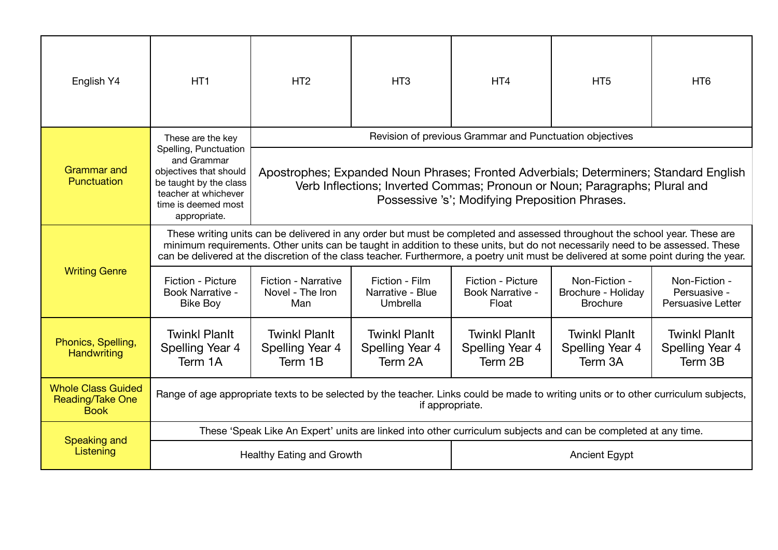| English Y4                                                          | HT <sub>1</sub>                                                                                                                                                                                                                                                                                                                                                                                     | HT <sub>2</sub>                                                                                                                                                                                                       | HT <sub>3</sub>                                    | HT <sub>4</sub>                                         | HT <sub>5</sub>                                                                                                                     | HT <sub>6</sub>                                           |  |
|---------------------------------------------------------------------|-----------------------------------------------------------------------------------------------------------------------------------------------------------------------------------------------------------------------------------------------------------------------------------------------------------------------------------------------------------------------------------------------------|-----------------------------------------------------------------------------------------------------------------------------------------------------------------------------------------------------------------------|----------------------------------------------------|---------------------------------------------------------|-------------------------------------------------------------------------------------------------------------------------------------|-----------------------------------------------------------|--|
|                                                                     | These are the key<br>Spelling, Punctuation                                                                                                                                                                                                                                                                                                                                                          |                                                                                                                                                                                                                       |                                                    | Revision of previous Grammar and Punctuation objectives |                                                                                                                                     |                                                           |  |
| <b>Grammar</b> and<br>Punctuation                                   | and Grammar<br>objectives that should<br>be taught by the class<br>teacher at whichever<br>time is deemed most<br>appropriate.                                                                                                                                                                                                                                                                      | Apostrophes; Expanded Noun Phrases; Fronted Adverbials; Determiners; Standard English<br>Verb Inflections; Inverted Commas; Pronoun or Noun; Paragraphs; Plural and<br>Possessive 's'; Modifying Preposition Phrases. |                                                    |                                                         |                                                                                                                                     |                                                           |  |
|                                                                     | These writing units can be delivered in any order but must be completed and assessed throughout the school year. These are<br>minimum requirements. Other units can be taught in addition to these units, but do not necessarily need to be assessed. These<br>can be delivered at the discretion of the class teacher. Furthermore, a poetry unit must be delivered at some point during the year. |                                                                                                                                                                                                                       |                                                    |                                                         |                                                                                                                                     |                                                           |  |
| <b>Writing Genre</b>                                                | Fiction - Picture<br><b>Book Narrative -</b><br><b>Bike Boy</b>                                                                                                                                                                                                                                                                                                                                     | <b>Fiction - Narrative</b><br>Novel - The Iron<br>Man                                                                                                                                                                 | Fiction - Film<br>Narrative - Blue<br>Umbrella     | Fiction - Picture<br>Book Narrative -<br>Float          | Non-Fiction -<br>Brochure - Holiday<br><b>Brochure</b>                                                                              | Non-Fiction -<br>Persuasive -<br><b>Persuasive Letter</b> |  |
| Phonics, Spelling,<br>Handwriting                                   | <b>Twinkl Planlt</b><br>Spelling Year 4<br>Term 1A                                                                                                                                                                                                                                                                                                                                                  | <b>Twinkl Planlt</b><br>Spelling Year 4<br>Term 1B                                                                                                                                                                    | <b>Twinkl Planlt</b><br>Spelling Year 4<br>Term 2A | <b>Twinkl Planlt</b><br>Spelling Year 4<br>Term 2B      | <b>Twinkl Planlt</b><br>Spelling Year 4<br>Term 3A                                                                                  | <b>Twinkl Planlt</b><br>Spelling Year 4<br>Term 3B        |  |
| <b>Whole Class Guided</b><br><b>Reading/Take One</b><br><b>Book</b> |                                                                                                                                                                                                                                                                                                                                                                                                     |                                                                                                                                                                                                                       | if appropriate.                                    |                                                         | Range of age appropriate texts to be selected by the teacher. Links could be made to writing units or to other curriculum subjects, |                                                           |  |
| <b>Speaking and</b>                                                 |                                                                                                                                                                                                                                                                                                                                                                                                     |                                                                                                                                                                                                                       |                                                    |                                                         | These 'Speak Like An Expert' units are linked into other curriculum subjects and can be completed at any time.                      |                                                           |  |
| Listening                                                           |                                                                                                                                                                                                                                                                                                                                                                                                     | <b>Healthy Eating and Growth</b>                                                                                                                                                                                      |                                                    | <b>Ancient Egypt</b>                                    |                                                                                                                                     |                                                           |  |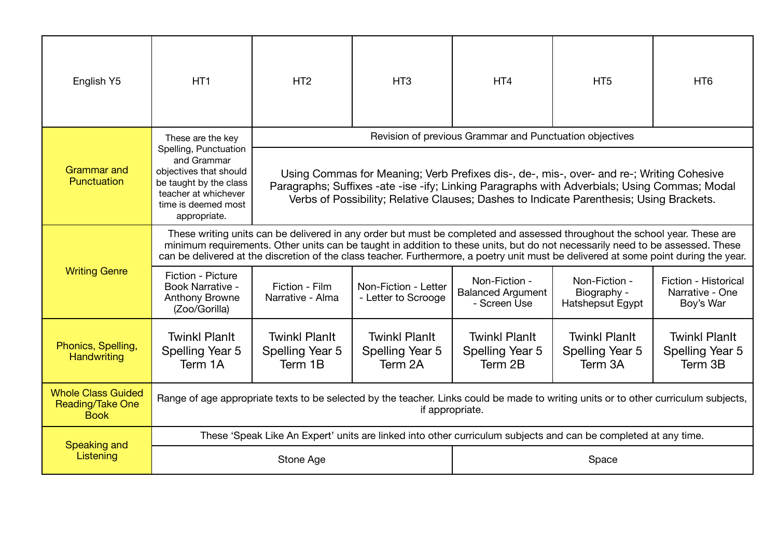| English Y5                                                          | HT <sub>1</sub>                                                                                                                                                                                                                                                                                                                                                                                     | HT <sub>2</sub>                                                                                                                                                                                                                                                                     | HT <sub>3</sub>                                    | HT <sub>4</sub>                                                                                                                     | HT <sub>5</sub>                                    | H <sub>T6</sub>                                      |  |
|---------------------------------------------------------------------|-----------------------------------------------------------------------------------------------------------------------------------------------------------------------------------------------------------------------------------------------------------------------------------------------------------------------------------------------------------------------------------------------------|-------------------------------------------------------------------------------------------------------------------------------------------------------------------------------------------------------------------------------------------------------------------------------------|----------------------------------------------------|-------------------------------------------------------------------------------------------------------------------------------------|----------------------------------------------------|------------------------------------------------------|--|
|                                                                     | These are the key<br>Spelling, Punctuation                                                                                                                                                                                                                                                                                                                                                          |                                                                                                                                                                                                                                                                                     |                                                    | Revision of previous Grammar and Punctuation objectives                                                                             |                                                    |                                                      |  |
| <b>Grammar</b> and<br>Punctuation                                   | and Grammar<br>objectives that should<br>be taught by the class<br>teacher at whichever<br>time is deemed most<br>appropriate.                                                                                                                                                                                                                                                                      | Using Commas for Meaning; Verb Prefixes dis-, de-, mis-, over- and re-; Writing Cohesive<br>Paragraphs; Suffixes -ate -ise -ify; Linking Paragraphs with Adverbials; Using Commas; Modal<br>Verbs of Possibility; Relative Clauses; Dashes to Indicate Parenthesis; Using Brackets. |                                                    |                                                                                                                                     |                                                    |                                                      |  |
|                                                                     | These writing units can be delivered in any order but must be completed and assessed throughout the school year. These are<br>minimum requirements. Other units can be taught in addition to these units, but do not necessarily need to be assessed. These<br>can be delivered at the discretion of the class teacher. Furthermore, a poetry unit must be delivered at some point during the year. |                                                                                                                                                                                                                                                                                     |                                                    |                                                                                                                                     |                                                    |                                                      |  |
| <b>Writing Genre</b>                                                | Fiction - Picture<br><b>Book Narrative -</b><br><b>Anthony Browne</b><br>(Zoo/Gorilla)                                                                                                                                                                                                                                                                                                              | Fiction - Film<br>Narrative - Alma                                                                                                                                                                                                                                                  | Non-Fiction - Letter<br>- Letter to Scrooge        | Non-Fiction -<br><b>Balanced Argument</b><br>- Screen Use                                                                           | Non-Fiction -<br>Biography -<br>Hatshepsut Egypt   | Fiction - Historical<br>Narrative - One<br>Boy's War |  |
| Phonics, Spelling,<br>Handwriting                                   | <b>Twinkl Planit</b><br>Spelling Year 5<br>Term 1A                                                                                                                                                                                                                                                                                                                                                  | <b>Twinkl Planit</b><br>Spelling Year 5<br>Term 1B                                                                                                                                                                                                                                  | <b>Twinkl Planit</b><br>Spelling Year 5<br>Term 2A | <b>Twinkl Planit</b><br>Spelling Year 5<br>Term 2B                                                                                  | <b>Twinkl Planlt</b><br>Spelling Year 5<br>Term 3A | <b>Twinkl Planlt</b><br>Spelling Year 5<br>Term 3B   |  |
| <b>Whole Class Guided</b><br><b>Reading/Take One</b><br><b>Book</b> |                                                                                                                                                                                                                                                                                                                                                                                                     |                                                                                                                                                                                                                                                                                     | if appropriate.                                    | Range of age appropriate texts to be selected by the teacher. Links could be made to writing units or to other curriculum subjects, |                                                    |                                                      |  |
| Speaking and                                                        |                                                                                                                                                                                                                                                                                                                                                                                                     |                                                                                                                                                                                                                                                                                     |                                                    | These 'Speak Like An Expert' units are linked into other curriculum subjects and can be completed at any time.                      |                                                    |                                                      |  |
| Listening                                                           |                                                                                                                                                                                                                                                                                                                                                                                                     | Stone Age                                                                                                                                                                                                                                                                           |                                                    | Space                                                                                                                               |                                                    |                                                      |  |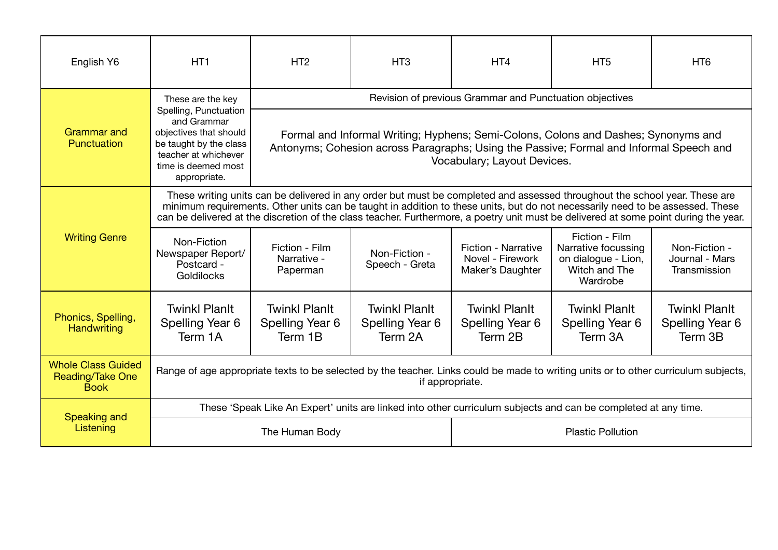| English Y6                                                          | HT <sub>1</sub>                                                                                                                                                                                                                                                                                                                                                                                     | HT <sub>2</sub>                                         | HT <sub>3</sub>                                                                                                                                                                                              | HT <sub>4</sub>                                                    | HT <sub>5</sub>                                                                                                                     | HT <sub>6</sub>                                    |  |  |
|---------------------------------------------------------------------|-----------------------------------------------------------------------------------------------------------------------------------------------------------------------------------------------------------------------------------------------------------------------------------------------------------------------------------------------------------------------------------------------------|---------------------------------------------------------|--------------------------------------------------------------------------------------------------------------------------------------------------------------------------------------------------------------|--------------------------------------------------------------------|-------------------------------------------------------------------------------------------------------------------------------------|----------------------------------------------------|--|--|
|                                                                     | These are the key<br>Spelling, Punctuation                                                                                                                                                                                                                                                                                                                                                          | Revision of previous Grammar and Punctuation objectives |                                                                                                                                                                                                              |                                                                    |                                                                                                                                     |                                                    |  |  |
| <b>Grammar</b> and<br>Punctuation                                   | and Grammar<br>objectives that should<br>be taught by the class<br>teacher at whichever<br>time is deemed most<br>appropriate.                                                                                                                                                                                                                                                                      |                                                         | Formal and Informal Writing; Hyphens; Semi-Colons, Colons and Dashes; Synonyms and<br>Antonyms; Cohesion across Paragraphs; Using the Passive; Formal and Informal Speech and<br>Vocabulary; Layout Devices. |                                                                    |                                                                                                                                     |                                                    |  |  |
|                                                                     | These writing units can be delivered in any order but must be completed and assessed throughout the school year. These are<br>minimum requirements. Other units can be taught in addition to these units, but do not necessarily need to be assessed. These<br>can be delivered at the discretion of the class teacher. Furthermore, a poetry unit must be delivered at some point during the year. |                                                         |                                                                                                                                                                                                              |                                                                    |                                                                                                                                     |                                                    |  |  |
| <b>Writing Genre</b>                                                | Non-Fiction<br>Newspaper Report/<br>Postcard -<br>Goldilocks                                                                                                                                                                                                                                                                                                                                        | Fiction - Film<br>Narrative -<br>Paperman               | Non-Fiction -<br>Speech - Greta                                                                                                                                                                              | <b>Fiction - Narrative</b><br>Novel - Firework<br>Maker's Daughter | Fiction - Film<br>Narrative focussing<br>on dialogue - Lion,<br>Witch and The<br>Wardrobe                                           | Non-Fiction -<br>Journal - Mars<br>Transmission    |  |  |
| Phonics, Spelling,<br><b>Handwriting</b>                            | <b>Twinkl Planit</b><br>Spelling Year 6<br>Term 1A                                                                                                                                                                                                                                                                                                                                                  | <b>Twinkl Planlt</b><br>Spelling Year 6<br>Term 1B      | <b>Twinkl Planit</b><br>Spelling Year 6<br>Term 2A                                                                                                                                                           | <b>Twinkl Planlt</b><br>Spelling Year 6<br>Term 2B                 | <b>Twinkl Planlt</b><br>Spelling Year 6<br>Term 3A                                                                                  | <b>Twinkl Planit</b><br>Spelling Year 6<br>Term 3B |  |  |
| <b>Whole Class Guided</b><br><b>Reading/Take One</b><br><b>Book</b> |                                                                                                                                                                                                                                                                                                                                                                                                     |                                                         | if appropriate.                                                                                                                                                                                              |                                                                    | Range of age appropriate texts to be selected by the teacher. Links could be made to writing units or to other curriculum subjects, |                                                    |  |  |
|                                                                     |                                                                                                                                                                                                                                                                                                                                                                                                     |                                                         |                                                                                                                                                                                                              |                                                                    | These 'Speak Like An Expert' units are linked into other curriculum subjects and can be completed at any time.                      |                                                    |  |  |
| Speaking and<br>Listening                                           |                                                                                                                                                                                                                                                                                                                                                                                                     | The Human Body                                          |                                                                                                                                                                                                              | <b>Plastic Pollution</b>                                           |                                                                                                                                     |                                                    |  |  |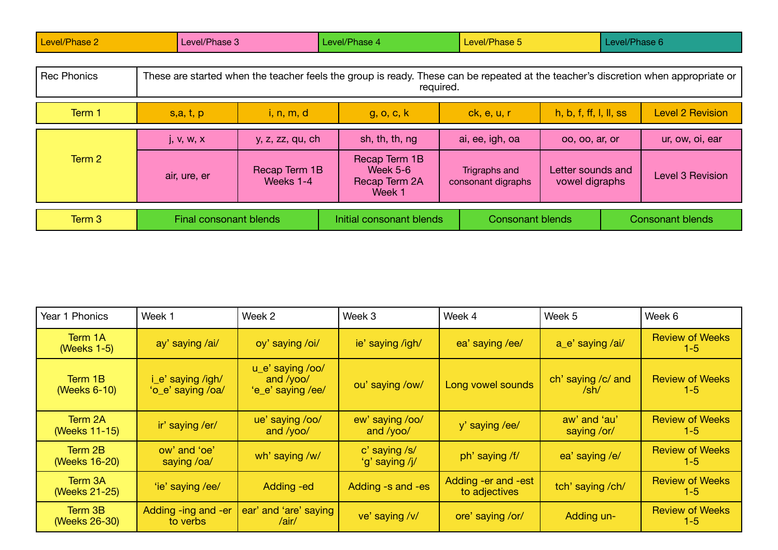| Level/Phase 2      | Level/Phase 3                                                                                                                                   |                            | Level/Phase 4                                        | Level/Phase 5                       |                                     |  | Level/Phase 6           |
|--------------------|-------------------------------------------------------------------------------------------------------------------------------------------------|----------------------------|------------------------------------------------------|-------------------------------------|-------------------------------------|--|-------------------------|
| <b>Rec Phonics</b> | These are started when the teacher feels the group is ready. These can be repeated at the teacher's discretion when appropriate or<br>required. |                            |                                                      |                                     |                                     |  |                         |
| Term 1             | s, a, t, p                                                                                                                                      | i, n, m, d                 | g, o, c, k                                           | ck, e, u, r                         | h, b, f, ff, l, ll, ss              |  | <b>Level 2 Revision</b> |
|                    | j, v, w, x                                                                                                                                      | y, z, zz, qu, ch           | sh, th, th, ng                                       | ai, ee, igh, oa                     | 00, 00, ar, or                      |  | ur, ow, oi, ear         |
| Term 2             | air, ure, er                                                                                                                                    | Recap Term 1B<br>Weeks 1-4 | Recap Term 1B<br>Week 5-6<br>Recap Term 2A<br>Week 1 | Trigraphs and<br>consonant digraphs | Letter sounds and<br>vowel digraphs |  | <b>Level 3 Revision</b> |
| Term 3             | <b>Final consonant blends</b>                                                                                                                   | Initial consonant blends   |                                                      | <b>Consonant blends</b>             |                                     |  | <b>Consonant blends</b> |

| Year 1 Phonics           | Week 1                                 | Week 2                                               | Week 3                          | Week 4                               | Week 5                                         | Week 6                            |
|--------------------------|----------------------------------------|------------------------------------------------------|---------------------------------|--------------------------------------|------------------------------------------------|-----------------------------------|
| Term 1A<br>(Weeks 1-5)   | ay' saying /ai/                        | oy' saying /oi/                                      | ie' saying /igh/                | ea' saying /ee/                      | a_e' saying /ai/                               | <b>Review of Weeks</b><br>$1 - 5$ |
| Term 1B<br>(Weeks 6-10)  | i_e' saying /igh/<br>'o_e' saying /oa/ | u_e' saying /oo/<br>and $/yoo/$<br>'e_e' saying /ee/ | ou' saying /ow/                 | Long vowel sounds                    | ch' saying /c/ and<br>$\mathsf{Sh}/\mathsf{S}$ | <b>Review of Weeks</b><br>$1-5$   |
| Term 2A<br>(Weeks 11-15) | ir' saying /er/                        | ue' saying /oo/<br>and /yoo/                         | ew' saying /oo/<br>and /yoo/    | y' saying /ee/                       | aw' and 'au'<br>saying /or/                    | <b>Review of Weeks</b><br>$1-5$   |
| Term 2B<br>(Weeks 16-20) | ow' and 'oe'<br>saying /oa/            | wh' saying /w/                                       | c' saying /s/<br>'g' saying /j/ | ph' saying /f/                       | ea' saying /e/                                 | <b>Review of Weeks</b><br>$1-5$   |
| Term 3A<br>(Weeks 21-25) | 'ie' saying /ee/                       | Adding -ed                                           | Adding -s and -es               | Adding -er and -est<br>to adjectives | tch' saying /ch/                               | <b>Review of Weeks</b><br>$1-5$   |
| Term 3B<br>(Weeks 26-30) | Adding -ing and -er<br>to verbs        | ear' and 'are' saying<br>/air/                       | ve' saying /v/                  | ore' saying /or/                     | Adding un-                                     | <b>Review of Weeks</b><br>$1 - 5$ |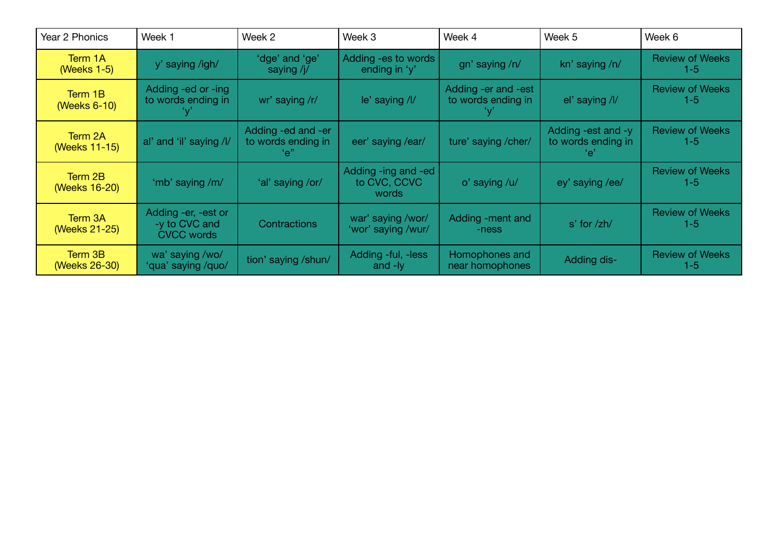| Year 2 Phonics           | Week 1                                                    | Week 2                                          | Week 3                                       | Week 4                                    | Week 5                                          | Week 6                          |
|--------------------------|-----------------------------------------------------------|-------------------------------------------------|----------------------------------------------|-------------------------------------------|-------------------------------------------------|---------------------------------|
| Term 1A<br>(Weeks 1-5)   | y' saying /igh/                                           | 'dge' and 'ge'<br>saying $/j/$                  | Adding - es to words<br>ending in 'y'        | gn' saying /n/                            | kn' saying /n/                                  | <b>Review of Weeks</b><br>$1-5$ |
| Term 1B<br>(Weeks 6-10)  | Adding -ed or -ing<br>to words ending in                  | wr' saying /r/                                  | le' saying /l/                               | Adding -er and -est<br>to words ending in | el' saying /l/                                  | <b>Review of Weeks</b><br>$1-5$ |
| Term 2A<br>(Weeks 11-15) | al' and 'il' saying /l/                                   | Adding -ed and -er<br>to words ending in<br>"e" | eer' saying /ear/                            | ture' saying / cher/                      | Adding -est and -y<br>to words ending in<br>'e' | <b>Review of Weeks</b><br>$1-5$ |
| Term 2B<br>(Weeks 16-20) | 'mb' saying /m/                                           | 'al' saying /or/                                | Adding -ing and -ed<br>to CVC, CCVC<br>words | o' saying /u/                             | ey' saying /ee/                                 | <b>Review of Weeks</b><br>$1-5$ |
| Term 3A<br>(Weeks 21-25) | Adding -er, -est or<br>-y to CVC and<br><b>CVCC words</b> | Contractions                                    | war' saying /wor/<br>'wor' saying /wur/      | Adding -ment and<br>-ness                 | $s'$ for $\zeta$ h/                             | <b>Review of Weeks</b><br>$1-5$ |
| Term 3B<br>(Weeks 26-30) | wa' saying /wo/<br>'qua' saying /quo/                     | tion' saying /shun/                             | Adding -ful, -less<br>and -ly                | Homophones and<br>near homophones         | Adding dis-                                     | <b>Review of Weeks</b><br>$1-5$ |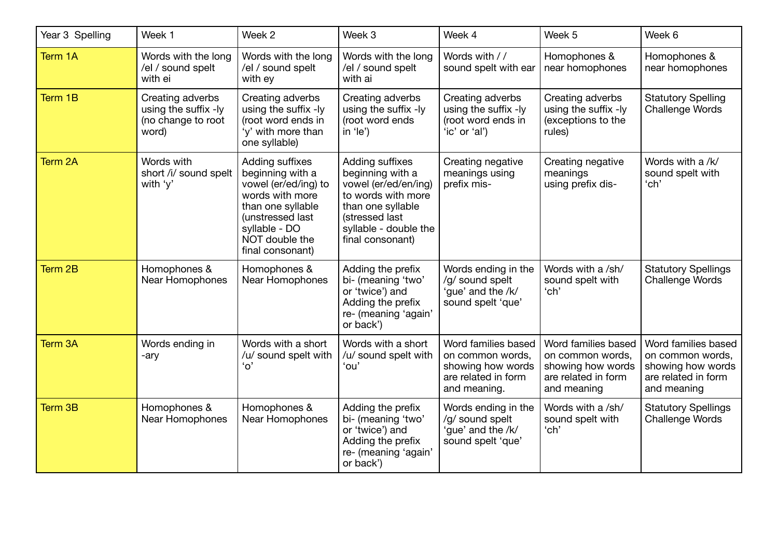| Year 3 Spelling | Week 1                                                                  | Week 2                                                                                                                                                                         | Week 3                                                                                                                                                                | Week 4                                                                                              | Week 5                                                                                             | Week 6                                                                                             |
|-----------------|-------------------------------------------------------------------------|--------------------------------------------------------------------------------------------------------------------------------------------------------------------------------|-----------------------------------------------------------------------------------------------------------------------------------------------------------------------|-----------------------------------------------------------------------------------------------------|----------------------------------------------------------------------------------------------------|----------------------------------------------------------------------------------------------------|
| Term 1A         | Words with the long<br>/el / sound spelt<br>with ei                     | Words with the long<br>/el / sound spelt<br>with ey                                                                                                                            | Words with the long<br>/el / sound spelt<br>with ai                                                                                                                   | Words with / /<br>sound spelt with ear                                                              | Homophones &<br>near homophones                                                                    | Homophones &<br>near homophones                                                                    |
| Term 1B         | Creating adverbs<br>using the suffix -ly<br>(no change to root<br>word) | Creating adverbs<br>using the suffix -ly<br>(root word ends in<br>'y' with more than<br>one syllable)                                                                          | Creating adverbs<br>using the suffix -ly<br>(root word ends<br>in $'le'$                                                                                              | Creating adverbs<br>using the suffix -ly<br>(root word ends in<br>'ic' or 'al')                     | Creating adverbs<br>using the suffix -ly<br>(exceptions to the<br>rules)                           | <b>Statutory Spelling</b><br><b>Challenge Words</b>                                                |
| Term 2A         | Words with<br>short /i/ sound spelt<br>with 'y'                         | Adding suffixes<br>beginning with a<br>vowel (er/ed/ing) to<br>words with more<br>than one syllable<br>(unstressed last<br>syllable - DO<br>NOT double the<br>final consonant) | Adding suffixes<br>beginning with a<br>vowel (er/ed/en/ing)<br>to words with more<br>than one syllable<br>(stressed last<br>syllable - double the<br>final consonant) | Creating negative<br>meanings using<br>prefix mis-                                                  | Creating negative<br>meanings<br>using prefix dis-                                                 | Words with a /k/<br>sound spelt with<br>'ch'                                                       |
| Term 2B         | Homophones &<br>Near Homophones                                         | Homophones &<br>Near Homophones                                                                                                                                                | Adding the prefix<br>bi- (meaning 'two'<br>or 'twice') and<br>Adding the prefix<br>re- (meaning 'again'<br>or back')                                                  | Words ending in the<br>/g/ sound spelt<br>'gue' and the /k/<br>sound spelt 'que'                    | Words with a /sh/<br>sound spelt with<br>'ch'                                                      | <b>Statutory Spellings</b><br><b>Challenge Words</b>                                               |
| Term 3A         | Words ending in<br>-ary                                                 | Words with a short<br>/u/ sound spelt with<br>'o'                                                                                                                              | Words with a short<br>/u/ sound spelt with<br>'ou'                                                                                                                    | Word families based<br>on common words,<br>showing how words<br>are related in form<br>and meaning. | Word families based<br>on common words,<br>showing how words<br>are related in form<br>and meaning | Word families based<br>on common words,<br>showing how words<br>are related in form<br>and meaning |
| Term 3B         | Homophones &<br>Near Homophones                                         | Homophones &<br>Near Homophones                                                                                                                                                | Adding the prefix<br>bi- (meaning 'two'<br>or 'twice') and<br>Adding the prefix<br>re- (meaning 'again'<br>or back')                                                  | Words ending in the<br>/g/ sound spelt<br>'gue' and the /k/<br>sound spelt 'que'                    | Words with a /sh/<br>sound spelt with<br>'ch'                                                      | <b>Statutory Spellings</b><br><b>Challenge Words</b>                                               |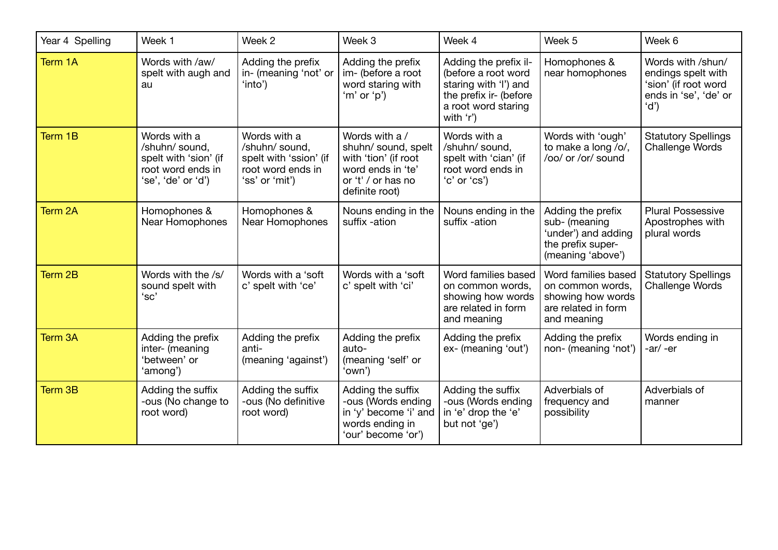| Year 4 Spelling | Week 1                                                                                             | Week 2                                                                                          | Week 3                                                                                                                     | Week 4                                                                                                                              | Week 5                                                                                              | Week 6                                                                                           |
|-----------------|----------------------------------------------------------------------------------------------------|-------------------------------------------------------------------------------------------------|----------------------------------------------------------------------------------------------------------------------------|-------------------------------------------------------------------------------------------------------------------------------------|-----------------------------------------------------------------------------------------------------|--------------------------------------------------------------------------------------------------|
| Term 1A         | Words with /aw/<br>spelt with augh and<br>au                                                       | Adding the prefix<br>in- (meaning 'not' or<br>'into')                                           | Adding the prefix<br>im- (before a root<br>word staring with<br>'m' or 'p')                                                | Adding the prefix il-<br>(before a root word<br>staring with 'l') and<br>the prefix ir- (before<br>a root word staring<br>with 'r') | Homophones &<br>near homophones                                                                     | Words with /shun/<br>endings spelt with<br>'sion' (if root word<br>ends in 'se', 'de' or<br>'d') |
| Term 1B         | Words with a<br>/shuhn/ sound,<br>spelt with 'sion' (if<br>root word ends in<br>'se', 'de' or 'd') | Words with a<br>/shuhn/ sound,<br>spelt with 'ssion' (if<br>root word ends in<br>'ss' or 'mit') | Words with a /<br>shuhn/ sound, spelt<br>with 'tion' (if root<br>word ends in 'te'<br>or 't' / or has no<br>definite root) | Words with a<br>/shuhn/ sound,<br>spelt with 'cian' (if<br>root word ends in<br>'c' or 'cs')                                        | Words with 'ough'<br>to make a long /o/,<br>/oo/ or /or/ sound                                      | <b>Statutory Spellings</b><br>Challenge Words                                                    |
| Term 2A         | Homophones &<br>Near Homophones                                                                    | Homophones &<br>Near Homophones                                                                 | Nouns ending in the<br>suffix -ation                                                                                       | Nouns ending in the<br>suffix -ation                                                                                                | Adding the prefix<br>sub- (meaning<br>'under') and adding<br>the prefix super-<br>(meaning 'above') | <b>Plural Possessive</b><br>Apostrophes with<br>plural words                                     |
| Term 2B         | Words with the /s/<br>sound spelt with<br>'sc'                                                     | Words with a 'soft<br>c' spelt with 'ce'                                                        | Words with a 'soft<br>c' spelt with 'ci'                                                                                   | Word families based<br>on common words,<br>showing how words<br>are related in form<br>and meaning                                  | Word families based<br>on common words,<br>showing how words<br>are related in form<br>and meaning  | <b>Statutory Spellings</b><br>Challenge Words                                                    |
| Term 3A         | Adding the prefix<br>inter- (meaning<br>'between' or<br>'among')                                   | Adding the prefix<br>anti-<br>(meaning 'against')                                               | Adding the prefix<br>auto-<br>(meaning 'self' or<br>'own')                                                                 | Adding the prefix<br>ex- (meaning 'out')                                                                                            | Adding the prefix<br>non- (meaning 'not')                                                           | Words ending in<br>$-ar/ -er$                                                                    |
| Term 3B         | Adding the suffix<br>-ous (No change to<br>root word)                                              | Adding the suffix<br>-ous (No definitive<br>root word)                                          | Adding the suffix<br>-ous (Words ending<br>in 'y' become 'i' and<br>words ending in<br>'our' become 'or')                  | Adding the suffix<br>-ous (Words ending<br>in 'e' drop the 'e'<br>but not 'ge')                                                     | Adverbials of<br>frequency and<br>possibility                                                       | Adverbials of<br>manner                                                                          |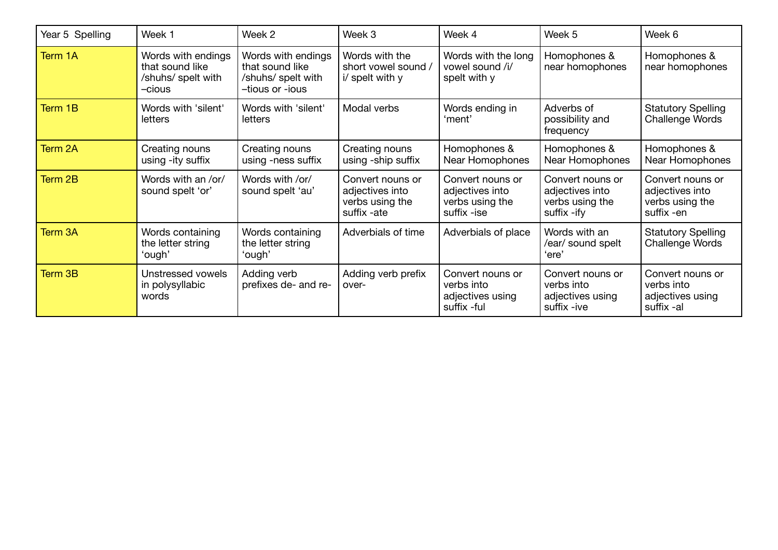| Year 5 Spelling | Week 1                                                                | Week 2                                                                         | Week 3                                                                | Week 4                                                                | Week 5                                                                | Week 6                                                               |
|-----------------|-----------------------------------------------------------------------|--------------------------------------------------------------------------------|-----------------------------------------------------------------------|-----------------------------------------------------------------------|-----------------------------------------------------------------------|----------------------------------------------------------------------|
| Term 1A         | Words with endings<br>that sound like<br>/shuhs/ spelt with<br>-cious | Words with endings<br>that sound like<br>/shuhs/ spelt with<br>-tious or -ious | Words with the<br>short vowel sound /<br>i/ spelt with y              | Words with the long<br>vowel sound /i/<br>spelt with y                | Homophones &<br>near homophones                                       | Homophones &<br>near homophones                                      |
| Term 1B         | Words with 'silent'<br>letters                                        | Words with 'silent'<br>letters                                                 | Modal verbs                                                           | Words ending in<br>'ment'                                             | Adverbs of<br>possibility and<br>frequency                            | <b>Statutory Spelling</b><br>Challenge Words                         |
| Term 2A         | Creating nouns<br>using -ity suffix                                   | Creating nouns<br>using -ness suffix                                           | Creating nouns<br>using -ship suffix                                  | Homophones &<br>Near Homophones                                       | Homophones &<br>Near Homophones                                       | Homophones &<br>Near Homophones                                      |
| Term 2B         | Words with an /or/<br>sound spelt 'or'                                | Words with /or/<br>sound spelt 'au'                                            | Convert nouns or<br>adjectives into<br>verbs using the<br>suffix -ate | Convert nouns or<br>adjectives into<br>verbs using the<br>suffix -ise | Convert nouns or<br>adjectives into<br>verbs using the<br>suffix -ify | Convert nouns or<br>adjectives into<br>verbs using the<br>suffix -en |
| Term 3A         | Words containing<br>the letter string<br>'ough'                       | Words containing<br>the letter string<br>'ough'                                | Adverbials of time                                                    | Adverbials of place                                                   | Words with an<br>/ear/ sound spelt<br>'ere'                           | <b>Statutory Spelling</b><br>Challenge Words                         |
| Term 3B         | Unstressed vowels<br>in polysyllabic<br>words                         | Adding verb<br>prefixes de- and re-                                            | Adding verb prefix<br>over-                                           | Convert nouns or<br>verbs into<br>adjectives using<br>suffix -ful     | Convert nouns or<br>verbs into<br>adjectives using<br>suffix -ive     | Convert nouns or<br>verbs into<br>adjectives using<br>suffix -al     |